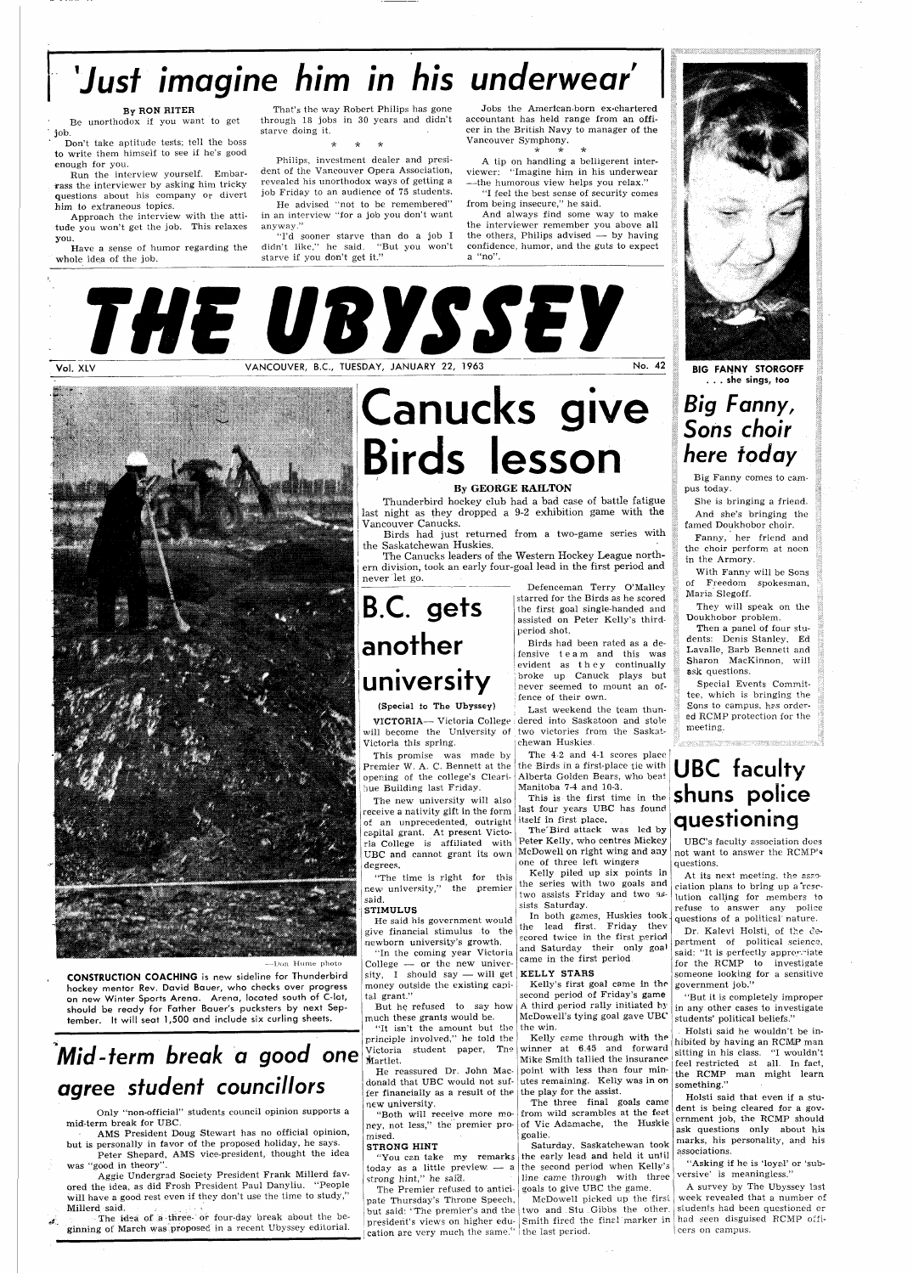## **'Just imagine him in his underwear'**

#### By RON RITER

Be unorthodox if you want to get job.

Don't take aptitude tests; tell the boss to write them himself to see if he's good enough for you.

Run the interview yourself. Embarrass the interviewer by asking him tricky questions about his company or divert him to extraneous topics.

Approach the interview with the attitude you won't get the job. This relaxes you.

Have a sense of humor regarding the whole idea of the job.

That's the way Robert Philips has gone through 18 jobs in 30 years and didn't starve doing it.

Philips, investment dealer and president of the Vancouver Opera Association, revealed his unorthodox ways of getting a job Friday to an audience of 75 students.

> And always find some way to make the others, Philips advised  $-$  by having confidence, humor, and the guts to expect a "no".

He advised "not to be remembered" in an interview "for a job you don't want anyway."

> Thunderbird hockey club had a bad case of battle fatigue last night as they dropped a 9-2 exhibition game with the Vancouver Canucks.

"I'd sooner starve than do a job I didn't like," he said. "But you won't starve if you don't get it."

VANCOUVER, B.C., TUESDAY, JANUARY 22, 1963

Birds had just returned from a two-game series with ihe Saskatchewan Huskies.

**CONSTRUCTION COACHING** is new sideline for Thunderbird hockey mentor Rev. David Bauer, who checks over progress on new Winter Sports Arena. Arena, located south of C-lot, should be ready for Father Bauer's pucksters by next September. It will seat 1,500 and include six curling sheets.

Jobs the American-born ex-chartered accountant has held range from an officer in the British Navy to manager of the Vancouver Symphony.

\* \* \*

A tip on handling a belligerent interviewer: "Imagine him in his underwear —the humorous view helps you relax."

"I feel the best sense of security comes

from being insecure," he said.

Aggie Undergrad Society President Frank Millerd favored the idea, as did Frosh President Paul Danyliu. "People will have a good rest even if they don't use the time to study,"<br>Millerd said. Millerd said.  $\mathbf{v} = \mathbf{v} \cdot \mathbf{v}$ 

the interviewer remember you above all

 $\epsilon$  - The idea of a three- or four-day break about the beginning of March was proposed in a recent Ubyssey editorial.

This promise was made by Premier W. A. C. Bennett at the opening of the college's Clearihue Building last Friday.

.3SHI 4&\

**Canucks give Birds lesson** 

#### By GEORGE RAILTON

"The time is right for this >iew university," the premier said.

He said his government would The state  $\frac{1}{2}$  is structured to the lead first. Friday they give financial stimulus to the state in the first period

newborn university's growth. "In the coming year Victoria College — or the new university, I should say — will get money outside the existing canital grant."

But he refused to say how much these grants would be. "It isn't the amount but the the win.

The Canucks leaders of the Western Hockey League northern division, took an early four-goal lead in the first period and never let go.

—Don Hume photo

"You can take my remarks strong hint," he said.

pate Thursday's Throne Speech, but said: "The premier's and the two and Stu Gibbs the other. president's views on higher edu-Smith fired the finel marker in had seen disguised RCMP offication are very much the same." the last period.

## **Mid-term break a good one agree student councillors**

Only "non-official" students council opinion supports a mid-term break for UBC.

AMS President Doug Stewart has no official opinion, but is personally in favor of the proposed holiday, he says.

Peter Shepard, AMS vice-president, thought the idea was "good in theory".

The three final goals came from wild scrambles at the feet of Vic Adamache, the Huskie goalie.

**B.C. gets another university** 

today as a little preview — a the second period when Kelly's The Premier refused to antici-goals to give UBC the game. Saturday, Saskatchewan took the early lead and held it until line came through with three

#### (Special to The Ubyssey)

VICTORIA— Victoria College dered into Saskatoon and stole will become the University of two victories from the Saskat-Victoria this spring.

The new university will also receive a nativity gift in the form )f an unprecedented, outright capital grant. At present Victoria College is affiliated with UBC and cannot grant its own degrees,

## anitoba 7-4 and 10-3.  $\frac{1}{2}$  **shuns** police **questioning**

#### STIMULUS

principle involved," he told the Martlet.

fer financially as a result of the new university.

"Both will receive more money, not less," the premier promised.

#### STRONG HINT

Defenceman Terry O'Malley starred for the Birds as he scored the first goal single-handed and assisted on Peter Kelly's thirdperiod shot.

Birds had been rated as a defensive tea m and this was evident as they continually broke up Canuck plays but never seemed to mount an offence of their own.

Last weekend the team thunchewan Huskies,

Victoria student paper, Tne winner at 6.45 and forward He reassured Dr. John Mac- point with less than four mindonald that UBC would not suf- utes remaining. Kelly was in on Kelly came through with the Mike Smith tallied the insurance the play for the assist.

The 4-2 and 4-1 scores place the Birds in a first-place tie with Alberta Golden Bears, who beat **UBC faculty**  Manitoba 7-4 and 10-3.

last four years UBC has found itself in first place.

The'Bird attack was led by Peter Kelly, who centres Mickey McDowell on right wing and any one of three left wingers

Kelly piled up six points in the series with two goals and two assists Friday and two assists Saturday.

In both games, Huskies took

**THE URVSSEY** 



scored twice in the first period and Saturday their only goa' came in the first period

#### KELLY STARS

Kelly's first goal came in the second period of Friday's game A third period rally initiated by McDowell's tying goal gave UBC

McDowell picked up the first

**BIG FANNY STORGOFF**  . . . she sings, **too** 

### **Big Fanny, Sons choir here today**

Big Fanny comes to campus today.

She is bringing a friend. And she's bringing the famed Doukhobor choir.

Fanny, her friend and the choir perform at noon in the Armory.

With Fanny will be Sons of Freedom spokesman, Maria Slegoff.

They will speak on the Doukhobor problem.

Then a panel of four students: Denis Stanley, Ed Lavalle, Barb Bennett and Sharon MacKinnon, will ask questions.

Special Events Committee, which is bringing the Sons to campus, has ordered RCMP protection for the meeting.

UBC's faculty association does not want to answer the RCMP's questions.

At its next meeting, the association plans to bring up a resclution calling for members *to*  refuse to answer any police questions of a political' nature.

Dr. Kalevi Holsti, of the de-

partment of political science, said: "It is perfectly appropriate for the RCMP to investigate someone looking for a sensitive government job."

"But it is completely improper in any other cases to investigate students' political beliefs."

Holsti said he wouldn't be inhibited by having an RCMjP man sitting in his class. "I wouldn't feel restricted at all. In fact, the RCMP man might learn something."

Holsti said that even if a student is being cleared for a government job, the RCMP should ask questions only about his marks, his personality, and his associations.

"Asking if he is 'loyal' or 'subversive' is meaningless."

A survey by The Ubyssey last week revealed that a number of students had been questioned or cers on campus.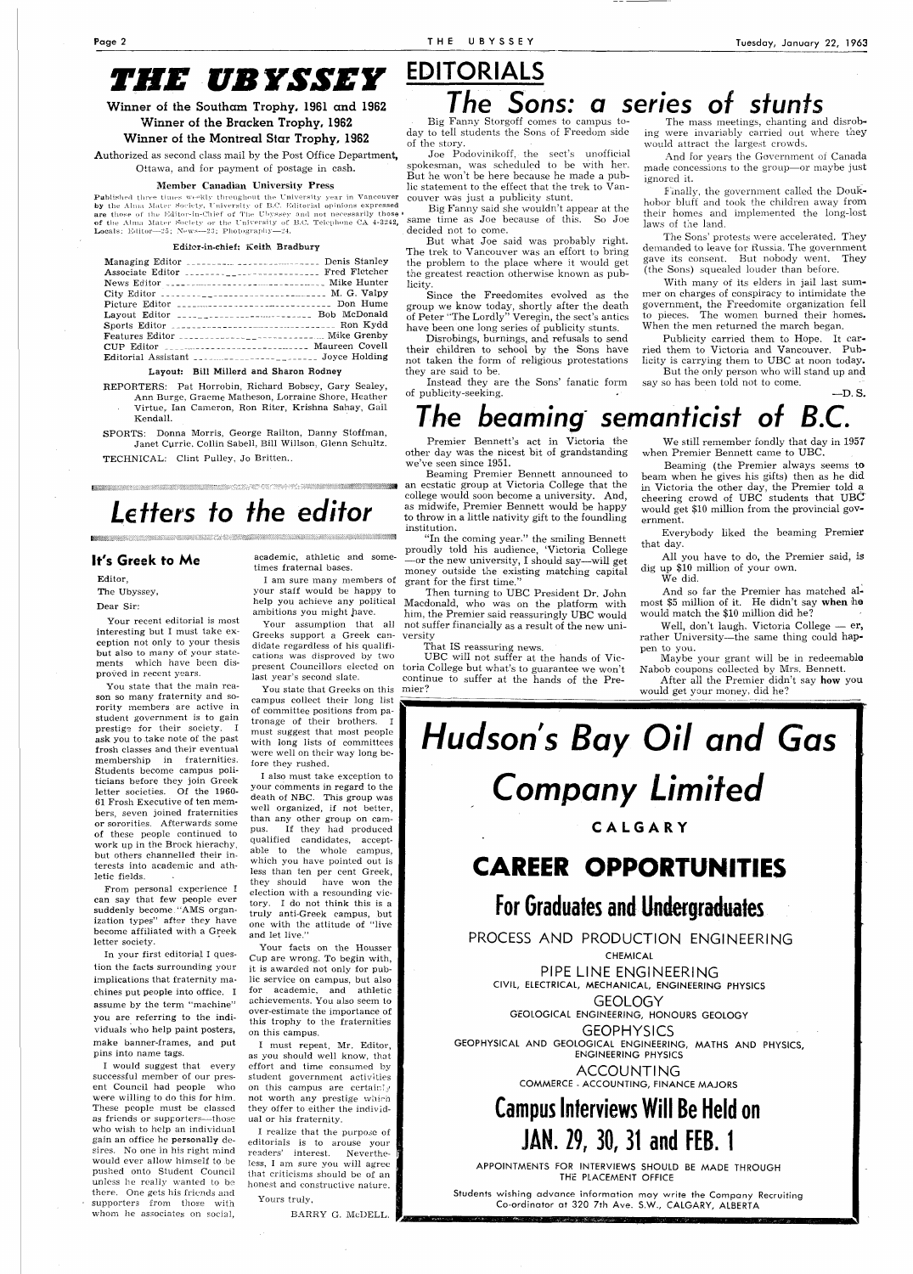## *THE UB YSSEY*

Winner of the Southam Trophy, 1961 and 1962

#### Winner of the Bracken Trophy, 1962

Winner of the Montreal Star Trophy, 1962

Published three times weekly throughout the University year in Vancouver by the Alma Mater Society, University of B.C. Editorial opinions expressed  $\operatorname{\sf are}$  those of the Editor-in-Chief of The Ubyssey and not necessarily those  $\overline{\ }$ of the Almn Mater Society or the University of B.C. Telephone CA 4-3242, Locals: Editor—25; News—23; Photography—24.

Authorized as second class mail by the Post Office Department, Ottawa, and for payment of postage in cash.

#### Member Canadian University Press

#### Editor-in-chief: Keith Bradbury

| Managing Editor  Denis Stanley<br>Associate Editor  Fred Fletcher                               |  |
|-------------------------------------------------------------------------------------------------|--|
|                                                                                                 |  |
| City Editor $\ldots \ldots \ldots \ldots \ldots \ldots \ldots \ldots \ldots \ldots$ M. G. Valpy |  |
| Picture Editor _______________________________ Don Hume                                         |  |
| Layout Editor ______________________ Bob McDonald                                               |  |
|                                                                                                 |  |
|                                                                                                 |  |
| CUP Editor ----------------------------- Maureen Covell                                         |  |
|                                                                                                 |  |

#### Layout: Bill Millerd and Sharon Rodney

## EDITORIALS The Sons: a series of stunts

Big Fanny Storgoff comes to campus today to tell students the Sons of Freedom side of the story.

Joe Podovinikoff, the sect's unofficial spokesman, was scheduled to be with her. But he won't be here because he made a public statement to the effect that the trek to Vancouver was just a publicity stunt.

Big Fanny said she wouldn't appear at the same time as Joe because of this. So Joe decided not to come.

But what Joe said was probably right. The trek to Vancouver was an effort to bring the problem to the place where it would get the greatest reaction otherwise known as publicity.

Since the Freedomites evolved as the group we know today, shortly after the death of Peter "The Lordly" Veregin, the sect's antics have been one long series of publicity stunts.

Disrobings, burnings, and refusals to send their children to school by the Sons have not taken the form of religious protestations they are said to be.

- REPORTERS: Pat Horrobin, Richard Bobsey, Gary Sealey, Ann Burge, Graeme Matheson, Lorraine Shore, Heather Virtue, Ian Cameron, Ron Riter, Krishna Sahay, Gail Kendall.
- SPORTS: Donna Morris, George Railton, Danny Stoffman, Janet Currie, Collin Sabell, Bill Willson, Glenn Schultz.

Instead they are the Sons' fanatic form of publicity-seeking.

#### The mass meetings, chanting and disrobing were invariably carried out where they would attract the largest crowds.

And for years the Government of Canada made concessions to the group—or maybe just ignored it.

Emally, the government called the Doukhobor bluff and took the children away from their homes and implemented the long-lost laws of the land.

The Sons' protests were accelerated. They demanded to leave for Russia. The government gave its consent. But nobody went. They (the Sons) squealed louder than before.

With many of its elders in jail last summer on charges of conspiracy to intimidate the government, the Freedomite organization fell to pieces. The women burned their homes. When the men returned the march began.

Publicity carried them to Hope. It carried them to Victoria and Vancouver. Publicity is carrying them to UBC at noon today.

help you achieve any political Macdonald, who was on the platform with Your assumption that all not suffer financially as a result of the new uni-Then turning to UBC President Dr. John him, the Premier said reassuringly UBC would versity

But the only person who will stand up and say so has been told not to come. —D. S.

## I he beaming semanticist of

You state that Greeks on this mier? campus collect their long list of committee positions from patronage of their brothers. I must suggest that most people with long lists of committees were well on their way long before they rushed.

TECHNICAL: Clint Pulley, Jo Britten..

## Letters to the editor

#### **It's Greek to Me**

Editor,

The Ubyssey,

Dear Sir:

Your recent editorial is most interesting but I must take exception not only to your thesis but also to many of your statements which have been disproved in recent years.

You state that the main reason so many fraternity and sorority members are active in student government is to gain prestige for their society. I ask you to take note of the past frosh classes and their eventual membership in fraternities. Students become campus politicians before they join Greek letter societies. Of the 1960- 61 Frosh Executive of ten members, seven joined fraternities or sororities. Afterwards some of these people continued to work up in the Brock hierachy, but others channelled their interests into academic and athletic fields.

**Hudson's Bay Oil and Gas Company Limited** 

**GEOPHYSICS** GEOPHYSICAL AND GEOLOGICAL ENGINEERING, MATHS AND PHYSICS, ENGINEERING PHYSICS

From personal experience I can say that few people ever suddenly become "AMS organization types" after they have become affiliated with a Greek letter society. In your first editorial I question the facts surrounding your implications that fraternity machines put people into office. I assume by the term "machine" you are referring to the individuals who help paint posters, make banner-frames, and put pins into name tags. I would suggest that every successful member of our present Council had people who were willing to do this for him. These people must be classed as friends or supporters—those who wish to help an individual gain an office he personally desires. No one in his right mind would ever allow himself to be pushed onto Student Council unless he really wanted to be there. One gets his friends and supporters from those with whom he associates on social,

academic, athletic and sometimes fraternal bases. I am sure many members of

your staff would be happy to ambitions you might have.

Premier Bennett's act in Victoria the other day was the nicest bit of grandstanding we've seen since 1951.

Beaming Premier Bennett announced to an ecstatic group at Victoria College that the college would soon become a university. And, as midwife, Premier Bennett would be happy to throw in a little nativity gift to the foundling institution.

Greeks support a Greek candidate regardless of his qualifications was disproved by two last year's second slate

"In the coming year," the smiling Bennett proudly told his audience, 'Victoria College —or the new university, I should say—will get money outside the existing matching capital grant for the first time."

That IS reassuring news.

UBC will not suffer at the hands of Vicpresent Councillors elected on toria College but what's to guarantee we won't continue to suffer at the hands of the Pre-

I also must take exception to your comments in regard to the death of NBC. This group was well organized, if not better, than any other group on campus. If they had produced qualified candidates, acceptable to the whole campus, which you have pointed out is less than ten per cent Greek, they should have won the election with a resounding victory. I do not think this is a truly anti-Greek campus, but one with the attitude of "live

and let live."

Your facts on the Housser Cup are wrong. To begin with, it is awarded not only for public service on campus, but also for academic, and athletic achievements. You also seem to over-estimate the importance of this trophy to the fraternities on this campus.

I must repeat, Mr. Editor, as you should well know, that effort and time consumed by student government activities on this campus are certainly not worth any prestige which they offer to either the individual or his fraternity.

I realize that the purpose of editorials is to arouse your readers' interest. Nevertheless, I am sure you will agree that criticisms should be of an honest and constructive nature.

Yours truly,

BARRY G. McDELL.

We still remember fondly that day in 1957 when Premier Bennett came to UBC.

Beaming (the Premier always seems to beam when he gives his gifts) then as he did in Victoria the other day, the Premier told a cheering crowd of UBC students that  $UBC$ would get \$10 million from the provincial government.

Everybody liked the beaming Premier that day.

All you have to do, the Premier said, is dig up \$10 million of your own.

We did. And so far the Premier has matched almost \$5 million of it. He didn't say **when** he

would match the \$10 million did he? Well, don't laugh, Victoria College — er, rather University—the same thing could hap-

pen to you. Maybe your grant will be in redeemable Nabob coupons collected by Mrs. Bennett.

After all the Premier didn't say **how** you would get your money, did he?

**CALGAR Y** 

## **CAREER OPPORTUNITIES**

### For Graduates and Undergraduates

#### PROCESS AND PRODUCTION ENGINEERING

#### CHEMICAL

PIPELINE ENGINEERING CIVIL, ELECTRICAL, MECHANICAL, ENGINEERING PHYSICS

GEOLOGY GEOLOGICAL ENGINEERING, HONOURS GEOLOGY

ACCOUNTING COMMERCE - ACCOUNTING, FINANCE MAJORS

## Campus Interviews Will Be Held on JAN. 29,30,31 and FEB. 1

#### APPOINTMENTS FOR INTERVIEWS SHOULD BE MADE THROUGH THE PLACEMENT OFFICE

Students wishing advance information may write the Company Recruiting Co-ordinator at 320 7th Ave. S.W., CALGARY, ALBERTA